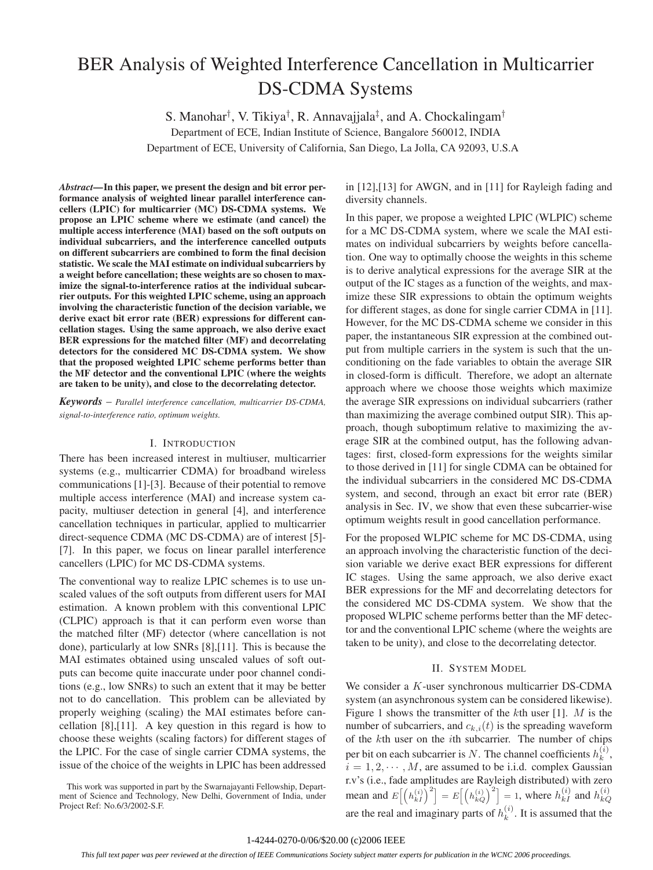# BER Analysis of Weighted Interference Cancellation in Multicarrier DS-CDMA Systems

S. Manohar† , V. Tikiya† , R. Annavajjala‡ , and A. Chockalingam† Department of ECE, Indian Institute of Science, Bangalore 560012, INDIA Department of ECE, University of California, San Diego, La Jolla, CA 92093, U.S.A

*Abstract***—In this paper, we present the design and bit error performance analysis of weighted linear parallel interference cancellers (LPIC) for multicarrier (MC) DS-CDMA systems. We propose an LPIC scheme where we estimate (and cancel) the multiple access interference (MAI) based on the soft outputs on individual subcarriers, and the interference cancelled outputs on different subcarriers are combined to form the final decision statistic. We scale the MAI estimate on individual subcarriers by a weight before cancellation; these weights are so chosen to maximize the signal-to-interference ratios at the individual subcarrier outputs. For this weighted LPIC scheme, using an approach involving the characteristic function of the decision variable, we derive exact bit error rate (BER) expressions for different cancellation stages. Using the same approach, we also derive exact BER expressions for the matched filter (MF) and decorrelating detectors for the considered MC DS-CDMA system. We show that the proposed weighted LPIC scheme performs better than the MF detector and the conventional LPIC (where the weights are taken to be unity), and close to the decorrelating detector.**

*Keywords* – *Parallel interference cancellation, multicarrier DS-CDMA, signal-to-interference ratio, optimum weights.*

#### I. INTRODUCTION

There has been increased interest in multiuser, multicarrier systems (e.g., multicarrier CDMA) for broadband wireless communications [1]-[3]. Because of their potential to remove multiple access interference (MAI) and increase system capacity, multiuser detection in general [4], and interference cancellation techniques in particular, applied to multicarrier direct-sequence CDMA (MC DS-CDMA) are of interest [5]- [7]. In this paper, we focus on linear parallel interference cancellers (LPIC) for MC DS-CDMA systems.

The conventional way to realize LPIC schemes is to use unscaled values of the soft outputs from different users for MAI estimation. A known problem with this conventional LPIC (CLPIC) approach is that it can perform even worse than the matched filter (MF) detector (where cancellation is not done), particularly at low SNRs [8],[11]. This is because the MAI estimates obtained using unscaled values of soft outputs can become quite inaccurate under poor channel conditions (e.g., low SNRs) to such an extent that it may be better not to do cancellation. This problem can be alleviated by properly weighing (scaling) the MAI estimates before cancellation [8],[11]. A key question in this regard is how to choose these weights (scaling factors) for different stages of the LPIC. For the case of single carrier CDMA systems, the issue of the choice of the weights in LPIC has been addressed in [12],[13] for AWGN, and in [11] for Rayleigh fading and diversity channels.

In this paper, we propose a weighted LPIC (WLPIC) scheme for a MC DS-CDMA system, where we scale the MAI estimates on individual subcarriers by weights before cancellation. One way to optimally choose the weights in this scheme is to derive analytical expressions for the average SIR at the output of the IC stages as a function of the weights, and maximize these SIR expressions to obtain the optimum weights for different stages, as done for single carrier CDMA in [11]. However, for the MC DS-CDMA scheme we consider in this paper, the instantaneous SIR expression at the combined output from multiple carriers in the system is such that the unconditioning on the fade variables to obtain the average SIR in closed-form is difficult. Therefore, we adopt an alternate approach where we choose those weights which maximize the average SIR expressions on individual subcarriers (rather than maximizing the average combined output SIR). This approach, though suboptimum relative to maximizing the average SIR at the combined output, has the following advantages: first, closed-form expressions for the weights similar to those derived in [11] for single CDMA can be obtained for the individual subcarriers in the considered MC DS-CDMA system, and second, through an exact bit error rate (BER) analysis in Sec. IV, we show that even these subcarrier-wise optimum weights result in good cancellation performance.

For the proposed WLPIC scheme for MC DS-CDMA, using an approach involving the characteristic function of the decision variable we derive exact BER expressions for different IC stages. Using the same approach, we also derive exact BER expressions for the MF and decorrelating detectors for the considered MC DS-CDMA system. We show that the proposed WLPIC scheme performs better than the MF detector and the conventional LPIC scheme (where the weights are taken to be unity), and close to the decorrelating detector.

## II. SYSTEM MODEL

We consider a K-user synchronous multicarrier DS-CDMA system (an asynchronous system can be considered likewise). Figure 1 shows the transmitter of the kth user [1]. M is the number of subcarriers, and  $c_{k,i}(t)$  is the spreading waveform of the kth user on the ith subcarrier. The number of chips per bit on each subcarrier is N. The channel coefficients  $h_k^{(\hat{i})}$ ,  $i = 1, 2, \dots, M$ , are assumed to be i.i.d. complex Gaussian r.v's (i.e., fade amplitudes are Rayleigh distributed) with zero mean and  $E\left[\left(h_{kI}^{(i)}\right)^2\right] = E\left[\left(h_{kQ}^{(i)}\right)^2\right] = 1$ , where  $h_{kI}^{(i)}$  and  $h_{kQ}^{(i)}$ are the real and imaginary parts of  $h_k^{(i)}$ . It is assumed that the

This work was supported in part by the Swarnajayanti Fellowship, Department of Science and Technology, New Delhi, Government of India, under Project Ref: No.6/3/2002-S.F.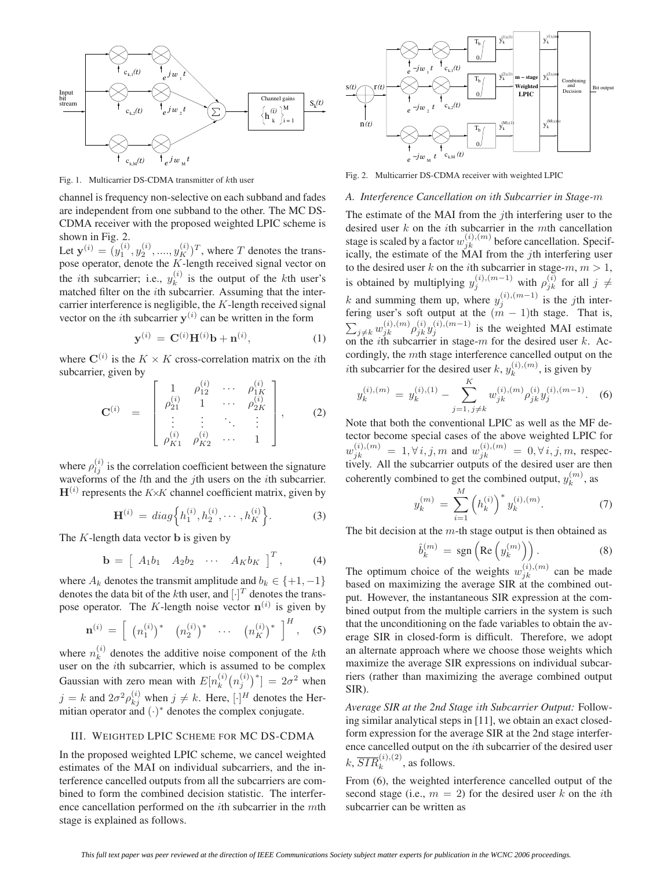

Fig. 1. Multicarrier DS-CDMA transmitter of kth user

channel is frequency non-selective on each subband and fades are independent from one subband to the other. The MC DS-CDMA receiver with the proposed weighted LPIC scheme is shown in Fig. 2. Let  $\mathbf{y}^{(i)} = (y_1^{(i)}, y_2^{(i)}, ..., y_K^{(i)})^T$ , where T denotes the trans-

pose operator, denote the K-length received signal vector on the *i*th subcarrier; i.e.,  $y_k^{(i)}$  is the output of the *k*th user's matched filter on the *i*th subcarrier. Assuming that the intercarrier interference is negligible, the  $K$ -length received signal vector on the *i*th subcarrier  $y^{(i)}$  can be written in the form

$$
y^{(i)} = C^{(i)}H^{(i)}b + n^{(i)}, \qquad (1)
$$

where  $\mathbf{C}^{(i)}$  is the  $K \times K$  cross-correlation matrix on the *i*th subcarrier, given by

$$
\mathbf{C}^{(i)} = \begin{bmatrix} 1 & \rho_{12}^{(i)} & \cdots & \rho_{1K}^{(i)} \\ \rho_{21}^{(i)} & 1 & \cdots & \rho_{2K}^{(i)} \\ \vdots & \vdots & \ddots & \vdots \\ \rho_{K1}^{(i)} & \rho_{K2}^{(i)} & \cdots & 1 \end{bmatrix}, \qquad (2)
$$

where  $\rho_{l}^{(i)}$  is the correlation coefficient between the signature waveforms of the  $l$ th and the  $j$ th users on the  $i$ th subcarrier.  $\mathbf{H}^{(i)}$  represents the *K*×*K* channel coefficient matrix, given by

$$
\mathbf{H}^{(i)} = diag\Big\{h_1^{(i)}, h_2^{(i)}, \cdots, h_K^{(i)}\Big\}.
$$
 (3)

The K-length data vector **b** is given by

$$
\mathbf{b} = \begin{bmatrix} A_1b_1 & A_2b_2 & \cdots & A_Kb_K \end{bmatrix}^T, \qquad (4)
$$

where  $A_k$  denotes the transmit amplitude and  $b_k \in \{+1, -1\}$ denotes the data bit of the kth user, and  $[\cdot]^T$  denotes the transpose operator. The K-length noise vector  $\mathbf{n}^{(i)}$  is given by

$$
\mathbf{n}^{(i)} = \begin{bmatrix} (n_1^{(i)})^* & (n_2^{(i)})^* & \cdots & (n_K^{(i)})^* \end{bmatrix}^H, \quad (5)
$$

where  $n_k^{(i)}$  denotes the additive noise component of the kth user on the *i*th subcarrier, which is assumed to be complex Gaussian with zero mean with  $E[n_k^{(i)}(n_j^{(i)})^*]=2\sigma^2$  when  $j = k$  and  $2\sigma^2 \rho_{ki}^{(i)}$  when  $j \neq k$ . Here,  $[\cdot]^H$  denotes the Hermitian operator and (·)<sup>∗</sup> denotes the complex conjugate.

### III. WEIGHTED LPIC SCHEME FOR MC DS-CDMA

In the proposed weighted LPIC scheme, we cancel weighted estimates of the MAI on individual subcarriers, and the interference cancelled outputs from all the subcarriers are combined to form the combined decision statistic. The interference cancellation performed on the *i*th subcarrier in the *mth* stage is explained as follows.



Fig. 2. Multicarrier DS-CDMA receiver with weighted LPIC

#### *A. Interference Cancellation on* i*th Subcarrier in Stage-*m

The estimate of the MAI from the *j*th interfering user to the desired user k on the *i*th subcarrier in the *mth* cancellation stage is scaled by a factor  $w_{ik}^{(i),(m)}$  before cancellation. Specifically, the estimate of the MAI from the  $j$ th interfering user to the desired user k on the *i*th subcarrier in stage-m,  $m > 1$ , is obtained by multiplying  $y_j^{(i),(m-1)}$  with  $\rho_{jk}^{(i)}$  for all  $j \neq j$ k and summing them up, where  $y_j^{(i),(m-1)}$  is the jth interfering user's soft output at the  $(m - 1)$ th stage. That is,  $\sum_{j \neq k} w_{jk}^{(i),(m)} \rho_{jk}^{(i)} y_j^{(i),(m-1)}$  is the weighted MAI estimate on the *i*th subcarrier in stage- $m$  for the desired user  $k$ . Accordingly, the mth stage interference cancelled output on the *i*th subcarrier for the desired user k,  $y_k^{(i),(m)}$ , is given by

$$
y_k^{(i),(m)} = y_k^{(i),(1)} - \sum_{j=1,\,j\neq k}^K w_{jk}^{(i),(m)} \rho_{jk}^{(i)} y_j^{(i),(m-1)}.
$$
 (6)

Note that both the conventional LPIC as well as the MF detector become special cases of the above weighted LPIC for  $w_{jk}^{(i),(m)} = 1, \forall i, j, m$  and  $w_{jk}^{(i),(m)} = 0, \forall i, j, m$ , respectively. All the subcarrier outputs of the desired user are then coherently combined to get the combined output,  $y_k^{(m)}$ , as

$$
y_k^{(m)} = \sum_{i=1}^{M} \left( h_k^{(i)} \right)^* y_k^{(i),(m)}.
$$
 (7)

The bit decision at the  $m$ -th stage output is then obtained as

$$
\hat{b}_k^{(m)} = \text{sgn}\left(\text{Re}\left(y_k^{(m)}\right)\right). \tag{8}
$$

The optimum choice of the weights  $w_{ik}^{(i),(m)}$  can be made based on maximizing the average SIR at the combined output. However, the instantaneous SIR expression at the combined output from the multiple carriers in the system is such that the unconditioning on the fade variables to obtain the average SIR in closed-form is difficult. Therefore, we adopt an alternate approach where we choose those weights which maximize the average SIR expressions on individual subcarriers (rather than maximizing the average combined output SIR).

*Average SIR at the 2nd Stage* i*th Subcarrier Output:* Following similar analytical steps in [11], we obtain an exact closedform expression for the average SIR at the 2nd stage interference cancelled output on the ith subcarrier of the desired user  $k, \overline{SIR}_k^{(i),(2)}$ , as follows.

From (6), the weighted interference cancelled output of the second stage (i.e.,  $m = 2$ ) for the desired user k on the *i*th subcarrier can be written as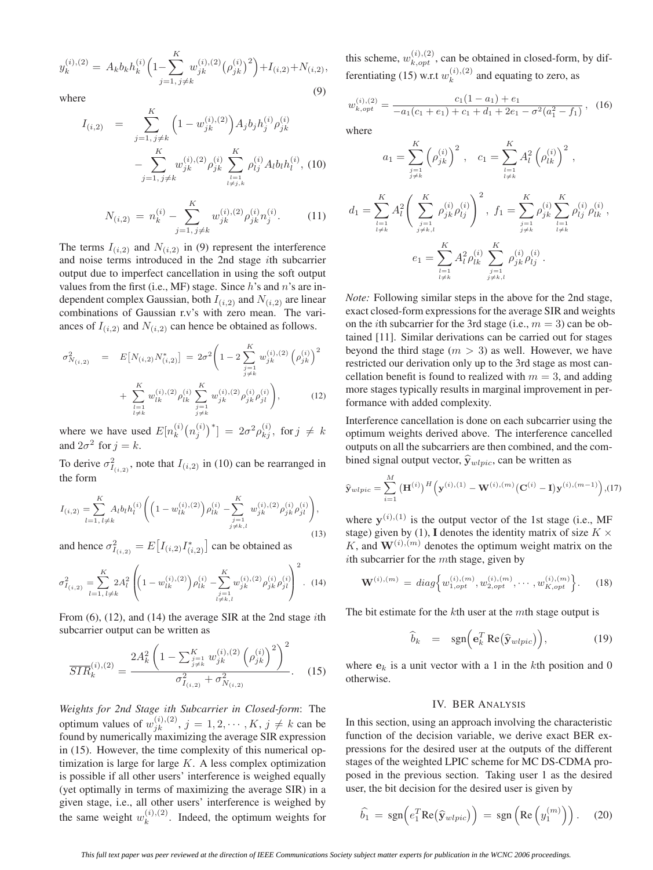$$
y_k^{(i),(2)} = A_k b_k h_k^{(i)} \left( 1 - \sum_{j=1, j \neq k}^K w_{jk}^{(i),(2)} (\rho_{jk}^{(i)})^2 \right) + I_{(i,2)} + N_{(i,2)},
$$
  
where (9)

$$
I_{(i,2)} = \sum_{j=1, j \neq k}^{K} \left(1 - w_{jk}^{(i),(2)}\right) A_j b_j h_j^{(i)} \rho_{jk}^{(i)}
$$

$$
- \sum_{j=1, j \neq k}^{K} w_{jk}^{(i),(2)} \rho_{jk}^{(i)} \sum_{l=1 \atop l \neq j,k}^{K} \rho_{lj}^{(i)} A_l b_l h_l^{(i)}, (10)
$$

$$
N_{(i,2)} = n_k^{(i)} - \sum_{j=1, j \neq k}^{K} w_{jk}^{(i),(2)} \rho_{jk}^{(i)} n_j^{(i)}.
$$
 (11)

The terms  $I_{(i,2)}$  and  $N_{(i,2)}$  in (9) represent the interference and noise terms introduced in the 2nd stage ith subcarrier output due to imperfect cancellation in using the soft output values from the first (i.e., MF) stage. Since  $h$ 's and  $n$ 's are independent complex Gaussian, both  $I_{(i,2)}$  and  $N_{(i,2)}$  are linear combinations of Gaussian r.v's with zero mean. The variances of  $I_{(i,2)}$  and  $N_{(i,2)}$  can hence be obtained as follows.

$$
\sigma_{N_{(i,2)}}^2 = E[N_{(i,2)}N_{(i,2)}^*] = 2\sigma^2 \left(1 - 2\sum_{\substack{j=1 \ j \neq k}}^K w_{jk}^{(i),(2)} \left(\rho_{jk}^{(i)}\right)^2 + \sum_{\substack{l=1 \ l \neq k}}^K w_{lk}^{(i),(2)} \rho_{lk}^{(i)} \sum_{\substack{j=1 \ j \neq k}}^K w_{jk}^{(i),(2)} \rho_{jk}^{(i)} \rho_{jl}^{(i)}\right),
$$
(12)

where we have used  $E[n_k^{(i)}(n_j^{(i)})^*] = 2\sigma^2 \rho_{ki}^{(i)}$ , for  $j \neq k$ and  $2\sigma^2$  for  $j = k$ .

To derive  $\sigma_{I_{(i,2)}}^2$ , note that  $I_{(i,2)}$  in (10) can be rearranged in the form

$$
I_{(i,2)} = \sum_{l=1, l \neq k}^{K} A_l b_l h_l^{(i)} \left( \left( 1 - w_{lk}^{(i),(2)} \right) \rho_{lk}^{(i)} - \sum_{\substack{j=1 \ j \neq k, l}}^{K} w_{jk}^{(i),(2)} \rho_{jk}^{(i)} \rho_{jl}^{(i)} \right),
$$
\n(13)

and hence  $\sigma_{I_{(i,2)}}^2 = E[I_{(i,2)}I_{(i,2)}^*]$  can be obtained as

$$
\sigma_{I_{(i,2)}}^2 = \sum_{l=1,\ l \neq k}^K 2A_l^2 \left( \left( 1 - w_{lk}^{(i),(2)} \right) \rho_{lk}^{(i)} - \sum_{\substack{j=1 \ i \neq k,l}}^K w_{jk}^{(i),(2)} \rho_{jk}^{(i)} \rho_{jl}^{(i)} \right)^2.
$$
 (14)

From  $(6)$ ,  $(12)$ , and  $(14)$  the average SIR at the 2nd stage *i*th subcarrier output can be written as

$$
\overline{SIR}_{k}^{(i),(2)} = \frac{2A_{k}^{2} \left(1 - \sum_{\substack{j=1 \ j \neq k}}^{K} w_{jk}^{(i),(2)} \left(\rho_{jk}^{(i)}\right)^{2}\right)^{2}}{\sigma_{I_{(i,2)}}^{2} + \sigma_{N_{(i,2)}}^{2}}.
$$
 (15)

*Weights for 2nd Stage* i*th Subcarrier in Closed-form*: The optimum values of  $w_{ik}^{(i),(2)}$ ,  $j = 1, 2, \cdots, K$ ,  $j \neq k$  can be found by numerically maximizing the average SIR expression in (15). However, the time complexity of this numerical optimization is large for large  $K$ . A less complex optimization is possible if all other users' interference is weighed equally (yet optimally in terms of maximizing the average SIR) in a given stage, i.e., all other users' interference is weighed by the same weight  $w_k^{(i),(2)}$ . Indeed, the optimum weights for this scheme,  $w_{k,out}^{(i),(2)}$ , can be obtained in closed-form, by differentiating (15) w.r.t  $w_k^{(i),(2)}$  and equating to zero, as

$$
w_{k,opt}^{(i),(2)} = \frac{c_1(1-a_1) + e_1}{-a_1(c_1 + e_1) + c_1 + d_1 + 2e_1 - \sigma^2(a_1^2 - f_1)},
$$
 (16)

where

$$
a_{1} = \sum_{\substack{j=1 \ i \neq k}}^{K} \left(\rho_{jk}^{(i)}\right)^{2}, \quad c_{1} = \sum_{\substack{l=1 \ l \neq k}}^{K} A_{l}^{2} \left(\rho_{lk}^{(i)}\right)^{2},
$$

$$
d_{1} = \sum_{\substack{l=1 \ l \neq k}}^{K} A_{l}^{2} \left(\sum_{\substack{j=1 \ j \neq k,l}}^{K} \rho_{jk}^{(i)} \rho_{lj}^{(i)}\right)^{2}, f_{1} = \sum_{\substack{j=1 \ j \neq k}}^{K} \rho_{jk}^{(i)} \sum_{\substack{l=1 \ l \neq k}}^{K} \rho_{lj}^{(i)} \rho_{lk}^{(i)},
$$

$$
e_{1} = \sum_{\substack{l=1 \ l \neq k}}^{K} A_{l}^{2} \rho_{lk}^{(i)} \sum_{\substack{j=1 \ j \neq k,l}}^{K} \rho_{jk}^{(i)} \rho_{lj}^{(i)}.
$$

*Note:* Following similar steps in the above for the 2nd stage, exact closed-form expressions for the average SIR and weights on the *i*th subcarrier for the 3rd stage (i.e.,  $m = 3$ ) can be obtained [11]. Similar derivations can be carried out for stages beyond the third stage  $(m > 3)$  as well. However, we have restricted our derivation only up to the 3rd stage as most cancellation benefit is found to realized with  $m = 3$ , and adding more stages typically results in marginal improvement in performance with added complexity.

Interference cancellation is done on each subcarrier using the optimum weights derived above. The interference cancelled outputs on all the subcarriers are then combined, and the combined signal output vector,  $\hat{y}_{wlpic}$ , can be written as

$$
\hat{\mathbf{y}}_{wlpic} = \sum_{i=1}^{M} (\mathbf{H}^{(i)})^H (\mathbf{y}^{(i),(1)} - \mathbf{W}^{(i),(m)} (\mathbf{C}^{(i)} - \mathbf{I}) \mathbf{y}^{(i),(m-1)}), (17)
$$

where  $y^{(i),(1)}$  is the output vector of the 1st stage (i.e., MF stage) given by (1), **I** denotes the identity matrix of size  $K \times$ K, and  $\mathbf{W}^{(i),(m)}$  denotes the optimum weight matrix on the *i*th subcarrier for the  $m$ th stage, given by

$$
\mathbf{W}^{(i),(m)} = diag\left\{w_{1,opt}^{(i),(m)}, w_{2,opt}^{(i),(m)}, \cdots, w_{K,opt}^{(i),(m)}\right\}.
$$
 (18)

The bit estimate for the kth user at the mth stage output is

$$
\widehat{b}_k = \operatorname{sgn}\left(\mathbf{e}_k^T \operatorname{Re}(\widehat{\mathbf{y}}_{\text{wlpic}})\right), \tag{19}
$$

where  $\mathbf{e}_k$  is a unit vector with a 1 in the kth position and 0 otherwise.

#### IV. BER ANALYSIS

In this section, using an approach involving the characteristic function of the decision variable, we derive exact BER expressions for the desired user at the outputs of the different stages of the weighted LPIC scheme for MC DS-CDMA proposed in the previous section. Taking user 1 as the desired user, the bit decision for the desired user is given by

$$
\widehat{b}_1 = \text{sgn}\Big(e_1^T \text{Re}\big(\widehat{\mathbf{y}}_{wlpic}\big)\Big) = \text{sgn}\left(\text{Re}\left(y_1^{(m)}\right)\right). \quad (20)
$$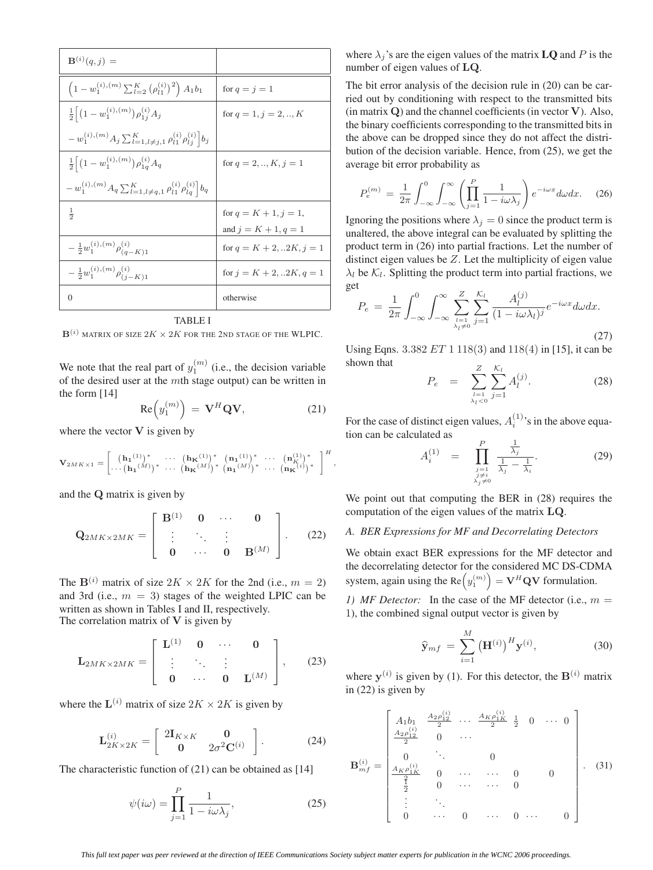| ${\bf B}^{(i)}(q,j) =$                                                             |                                   |
|------------------------------------------------------------------------------------|-----------------------------------|
| $\left(1-w_1^{(i),(m)}\sum_{l=2}^K {\left(\rho_{l1}^{(i)}\right)}^2\right)A_1b_1$  | for $q = j = 1$                   |
| $\frac{1}{2}\left[(1-w_1^{(i),(m)})\rho_{1j}^{(i)}A_j\right]$                      | for $q = 1, j = 2, , K$           |
| $-w_1^{(i),(m)}A_j\sum_{l=1,l\neq j,1}^K \rho_{l1}^{(i)}\rho_{lj}^{(i)}\Big b_j$   |                                   |
| $\frac{1}{2}\left(1-w_1^{(i),(m)}\right)\rho_{1q}^{(i)}A_q$                        | for $q = 2, , K, j = 1$           |
| $-w_1^{(i),(m)}A_q \sum_{l=1,l\neq q,1}^K \rho_{l1}^{(i)} \rho_{lq}^{(i)}\Big b_q$ |                                   |
| $\frac{1}{2}$                                                                      | for $q = K + 1$ , $j = 1$ ,       |
|                                                                                    | and $j = K + 1, q = 1$            |
| $-\frac{1}{2}w_1^{(i),(m)}\rho_{(q-K)1}^{(i)}$                                     | for $q = K + 2, \ldots 2K, i = 1$ |
| $-\frac{1}{2}w_1^{(i),(m)}\rho_{(j-K)1}^{(i)}$                                     | for $i = K + 2, \ldots 2K, q = 1$ |
| $\Omega$                                                                           | otherwise                         |

TABLE I

 $\mathbf{B}^{(i)}$  matrix of size  $2K \times 2K$  for the 2nd stage of the WLPIC.

We note that the real part of  $y_1^{(m)}$  (i.e., the decision variable of the desired user at the mth stage output) can be written in the form [14]

$$
\operatorname{Re}\left(y_1^{(m)}\right) = \mathbf{V}^H \mathbf{Q} \mathbf{V},\tag{21}
$$

where the vector  $V$  is given by

$$
\mathbf{V}_{2MK\times 1} = \begin{bmatrix} (\mathbf{h_1}^{(1)})^* & \cdots & (\mathbf{h_K}^{(1)})^* & (\mathbf{n_1}^{(1)})^* & \cdots & (\mathbf{n_K}^{(1)})^* \\ \cdots & (\mathbf{h_1}^{(M)})^* & \cdots & (\mathbf{h_K}^{(M)})^* & (\mathbf{n_1}^{(M)})^* & \cdots & (\mathbf{n_K}^{(i)})^* \end{bmatrix}^H,
$$

and the **Q** matrix is given by

$$
\mathbf{Q}_{2MK\times2MK} = \left[ \begin{array}{cccc} \mathbf{B}^{(1)} & \mathbf{0} & \cdots & \mathbf{0} \\ \vdots & \ddots & \vdots \\ \mathbf{0} & \cdots & \mathbf{0} & \mathbf{B}^{(M)} \end{array} \right].
$$
 (22)

The  $\mathbf{B}^{(i)}$  matrix of size  $2K \times 2K$  for the 2nd (i.e.,  $m = 2$ ) and 3rd (i.e.,  $m = 3$ ) stages of the weighted LPIC can be written as shown in Tables I and II, respectively. The correlation matrix of **V** is given by

$$
\mathbf{L}_{2MK\times 2MK} = \begin{bmatrix} \mathbf{L}^{(1)} & \mathbf{0} & \cdots & \mathbf{0} \\ \vdots & \ddots & \vdots \\ \mathbf{0} & \cdots & \mathbf{0} & \mathbf{L}^{(M)} \end{bmatrix}, \qquad (23)
$$

where the  $\mathbf{L}^{(i)}$  matrix of size  $2K \times 2K$  is given by

$$
\mathbf{L}_{2K \times 2K}^{(i)} = \begin{bmatrix} 2\mathbf{I}_{K \times K} & \mathbf{0} \\ \mathbf{0} & 2\sigma^2 \mathbf{C}^{(i)} \end{bmatrix}.
$$
 (24)

The characteristic function of (21) can be obtained as [14]

$$
\psi(i\omega) = \prod_{j=1}^{P} \frac{1}{1 - i\omega\lambda_j},\tag{25}
$$

where  $\lambda_i$ 's are the eigen values of the matrix **LQ** and P is the number of eigen values of **LQ**.

The bit error analysis of the decision rule in (20) can be carried out by conditioning with respect to the transmitted bits (in matrix **Q**) and the channel coefficients (in vector **V**). Also, the binary coefficients corresponding to the transmitted bits in the above can be dropped since they do not affect the distribution of the decision variable. Hence, from (25), we get the average bit error probability as

$$
P_e^{(m)} = \frac{1}{2\pi} \int_{-\infty}^0 \int_{-\infty}^{\infty} \left( \prod_{j=1}^P \frac{1}{1 - i\omega\lambda_j} \right) e^{-i\omega x} d\omega dx. \quad (26)
$$

Ignoring the positions where  $\lambda_i = 0$  since the product term is unaltered, the above integral can be evaluated by splitting the product term in (26) into partial fractions. Let the number of distinct eigen values be Z. Let the multiplicity of eigen value  $\lambda_l$  be  $\mathcal{K}_l$ . Splitting the product term into partial fractions, we get

$$
P_e = \frac{1}{2\pi} \int_{-\infty}^0 \int_{-\infty}^{\infty} \sum_{\substack{l=1 \ \lambda_l \neq 0}}^{Z} \sum_{j=1}^{K_l} \frac{A_l^{(j)}}{(1 - i\omega\lambda_l)^j} e^{-i\omega x} d\omega dx.
$$
\n(27)

Using Eqns. 3.382 ET 1 118(3) and 118(4) in [15], it can be shown that  $\overline{z}$ 

$$
P_e = \sum_{\substack{l=1 \ \lambda_l < 0}}^{\infty} \sum_{j=1}^{\lambda_l} A_l^{(j)}.
$$
\n(28)

For the case of distinct eigen values,  $A_i^{(1)}$ 's in the above equation can be calculated as

$$
A_i^{(1)} = \prod_{\substack{j=1 \ j \neq i \\ \lambda_j^j \neq 0}}^P \frac{\frac{1}{\lambda_j}}{\frac{1}{\lambda_j} - \frac{1}{\lambda_i}}.
$$
 (29)

We point out that computing the BER in (28) requires the computation of the eigen values of the matrix **LQ**.

## *A. BER Expressions for MF and Decorrelating Detectors*

We obtain exact BER expressions for the MF detector and the decorrelating detector for the considered MC DS-CDMA system, again using the Re $(v_1^{(m)}) = \mathbf{V}^H \mathbf{Q} \mathbf{V}$  formulation.

*1) MF Detector*: In the case of the MF detector (i.e.,  $m =$ 1), the combined signal output vector is given by

$$
\widehat{\mathbf{y}}_{mf} = \sum_{i=1}^{M} \left(\mathbf{H}^{(i)}\right)^{H} \mathbf{y}^{(i)},\tag{30}
$$

where  $y^{(i)}$  is given by (1). For this detector, the  $B^{(i)}$  matrix in (22) is given by

$$
\mathbf{B}_{mf}^{(i)} = \begin{bmatrix} A_1b_1 & A_2\rho_{12}^{(i)} & \cdots & A_{K}\rho_{1K}^{(i)} & 1 & 0 & \cdots & 0 \\ \frac{A_2\rho_{12}^{(i)}}{2} & 0 & \cdots & & & \\ 0 & \ddots & & 0 & & \\ 0 & \ddots & & 0 & & \\ \frac{A_{K}\rho_{1K}^{(i)}}{2} & 0 & \cdots & \cdots & 0 & 0 \\ \frac{1}{2} & 0 & \cdots & \cdots & 0 & & \\ \vdots & \ddots & & & & \\ 0 & \cdots & 0 & \cdots & 0 & \cdots & 0 \end{bmatrix} . (31)
$$

*This full text paper was peer reviewed at the direction of IEEE Communications Society subject matter experts for publication in the WCNC 2006 proceedings.*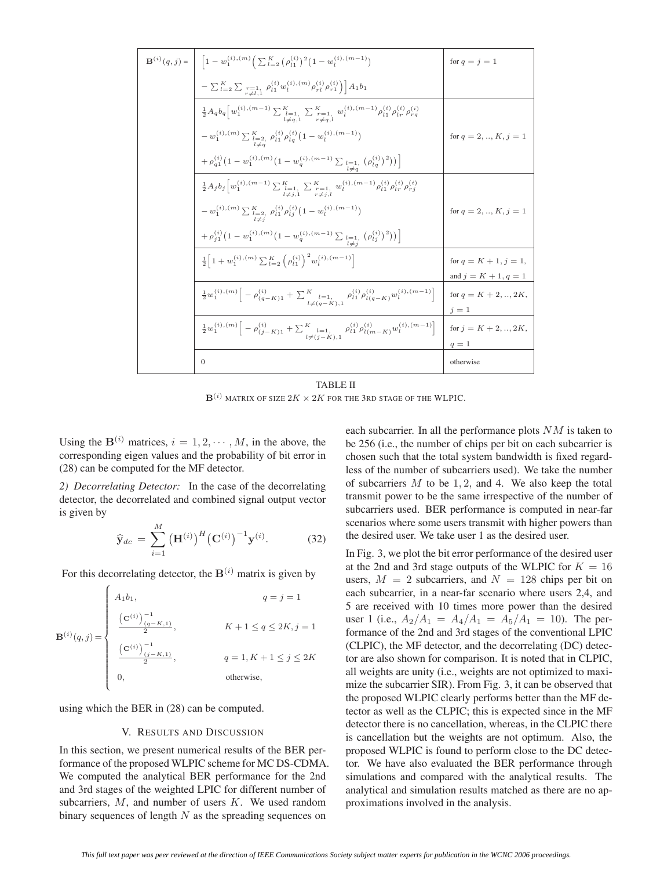| $\mathbf{B}^{(i)}(q,j) = \begin{bmatrix} 1 - w_1^{(i),(m)} \left( \sum_{l=2}^K \left( \rho_{l1}^{(i)} \right)^2 \left( 1 - w_l^{(i),(m-1)} \right) \right. \\ \end{bmatrix}$                   | for $q = j = 1$          |
|------------------------------------------------------------------------------------------------------------------------------------------------------------------------------------------------|--------------------------|
| $-\sum_{l=2}^K\sum_{\substack{r=1,\\r\neq l,1}}\rho_{l1}^{(i)}w_l^{(i),(m)}\rho_{rl}^{(i)}\rho_{r1}^{(i)}\bigg)\bigg]A_1b_1$                                                                   |                          |
| $\frac{1}{2}A_qb_q\bigg[w_1^{(i),(m-1)}\sum_{\substack{l=1\\l\neq q}}^{K}\sum_{\substack{r=1\\r\neq q}}^{K}\psi_l^{(i),(m-1)}\rho_{l1}^{(i)}\rho_{lr}^{(i)}\rho_{rq}^{(i)}$                    |                          |
| $-w_1^{(i),(m)}\sum_{\substack{l=2,\\l\neq q}}^{K}\rho_{l1}^{(i)}\rho_{lq}^{(i)}\big(1-w_l^{(i),(m-1)}\big)$                                                                                   | for $q = 2, , K, j = 1$  |
| $\left. + \, \rho_{q1}^{(i)} \big( 1 - w_1^{(i),(m)} \big( 1 - w_q^{(i),(m-1)} \, \textstyle \sum\limits_{\substack{l = 1, \\ l \neq q}} \, \big( \rho_{lq}^{(i)} \big)^2 \big) \big) \right]$ |                          |
| $\label{eq:3.1} \tfrac{1}{2}A_jb_j\Big[w_1^{(i),(m-1)}\sum_{\substack{l=1,\\l\neq i,1}}^K\sum_{\substack{r=1,\\r\neq i,l}}^Kw_l^{(i),(m-1)}\rho_{l1}^{(i)}\rho_{lr}^{(i)}\rho_{rj}^{(i)}$      |                          |
| $-w_1^{(i),(m)}\sum_{\substack{l=2,\\l\neq i}}^{K} \rho_{l1}^{(i)}\rho_{lj}^{(i)}\left(1-w_l^{(i),(m-1)}\right)$                                                                               | for $q = 2, , K, j = 1$  |
| $\left. + \, \rho_{j1}^{(i)} \big( 1 - w_1^{(i),(m)} \big( 1 - w_q^{(i),(m-1)} \, \textstyle \sum\limits_{\substack{l = 1, \\ l \neq j}} \, \big( \rho_{lj}^{(i)} \big)^2 \big) \big) \right]$ |                          |
| $\frac{1}{2}\left[1+w_1^{(i),(m)}\sum_{l=2}^K\left(\rho_{l1}^{(i)}\right)^2w_l^{(i),(m-1)}\right]$                                                                                             | for $q = K + 1, j = 1$ , |
|                                                                                                                                                                                                | and $j = K + 1, q = 1$   |
| $\frac{1}{2}w_1^{(i),(m)}\Big[-\rho_{(q-K)1}^{(i)}+\sum_{l=1, \atop l\neq (q-K)1}^{K} \rho_{l1}^{(i)}\rho_{l(q-K)}^{(i)}w_l^{(i),(m-1)}\Big]$                                                  | for $q = K + 2, , 2K$ ,  |
|                                                                                                                                                                                                | $i=1$                    |
| $\frac{1}{2}w_1^{(i),(m)}\Big[-\rho_{(j-K)1}^{(i)}+\sum_{l=1, \atop l\neq (j-K),1}\sum_{l=1}^R \rho_{l1}^{(i)}\rho_{l(m-K)}^{(i)}w_l^{(i),(m-1)}\Big]$                                         | for $j = K + 2, , 2K$ ,  |
|                                                                                                                                                                                                | $q=1$                    |
| $\theta$                                                                                                                                                                                       | otherwise                |
|                                                                                                                                                                                                |                          |

TABLE II  $\mathbf{B}^{(i)}$  matrix of size  $2K \times 2K$  for the 3rd stage of the WLPIC.

Using the  $\mathbf{B}^{(i)}$  matrices,  $i = 1, 2, \cdots, M$ , in the above, the corresponding eigen values and the probability of bit error in (28) can be computed for the MF detector.

*2) Decorrelating Detector:* In the case of the decorrelating detector, the decorrelated and combined signal output vector is given by

$$
\widehat{\mathbf{y}}_{dc} = \sum_{i=1}^{M} \left(\mathbf{H}^{(i)}\right)^{H} \left(\mathbf{C}^{(i)}\right)^{-1} \mathbf{y}^{(i)}.
$$
 (32)

For this decorrelating detector, the  $B^{(i)}$  matrix is given by

$$
\mathbf{B}^{(i)}(q,j) = \begin{cases} A_1 b_1, & q = j = 1 \\ \frac{\left(\mathbf{C}^{(i)}\right)_{(q-K,1)}^{-1}}{2}, & K+1 \le q \le 2K, j = 1 \\ \frac{\left(\mathbf{C}^{(i)}\right)_{(j-K,1)}^{-1}}{2}, & q = 1, K+1 \le j \le 2K \\ 0, & \text{otherwise,} \end{cases}
$$

using which the BER in (28) can be computed.

## V. RESULTS AND DISCUSSION

In this section, we present numerical results of the BER performance of the proposed WLPIC scheme for MC DS-CDMA. We computed the analytical BER performance for the 2nd and 3rd stages of the weighted LPIC for different number of subcarriers,  $M$ , and number of users  $K$ . We used random binary sequences of length  $N$  as the spreading sequences on

each subcarrier. In all the performance plots  $NM$  is taken to be 256 (i.e., the number of chips per bit on each subcarrier is chosen such that the total system bandwidth is fixed regardless of the number of subcarriers used). We take the number of subcarriers  $M$  to be 1, 2, and 4. We also keep the total transmit power to be the same irrespective of the number of subcarriers used. BER performance is computed in near-far scenarios where some users transmit with higher powers than the desired user. We take user 1 as the desired user.

In Fig. 3, we plot the bit error performance of the desired user at the 2nd and 3rd stage outputs of the WLPIC for  $K = 16$ users,  $M = 2$  subcarriers, and  $N = 128$  chips per bit on each subcarrier, in a near-far scenario where users 2,4, and 5 are received with 10 times more power than the desired user 1 (i.e.,  $A_2/A_1 = A_4/A_1 = A_5/A_1 = 10$ ). The performance of the 2nd and 3rd stages of the conventional LPIC (CLPIC), the MF detector, and the decorrelating (DC) detector are also shown for comparison. It is noted that in CLPIC, all weights are unity (i.e., weights are not optimized to maximize the subcarrier SIR). From Fig. 3, it can be observed that the proposed WLPIC clearly performs better than the MF detector as well as the CLPIC; this is expected since in the MF detector there is no cancellation, whereas, in the CLPIC there is cancellation but the weights are not optimum. Also, the proposed WLPIC is found to perform close to the DC detector. We have also evaluated the BER performance through simulations and compared with the analytical results. The analytical and simulation results matched as there are no approximations involved in the analysis.